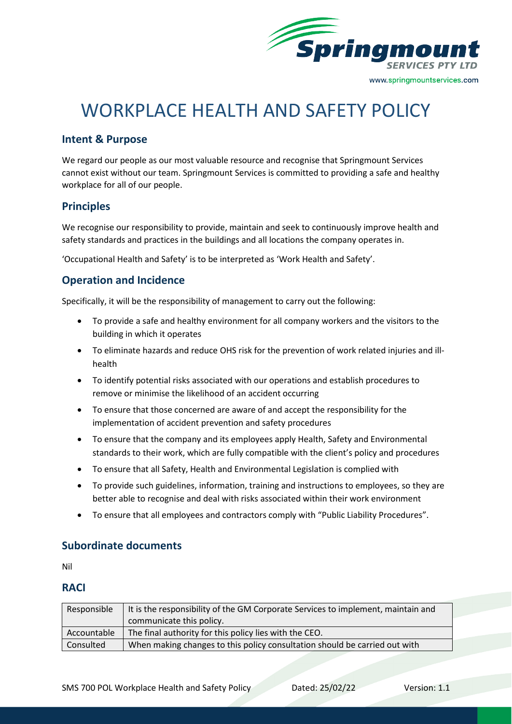

# WORKPLACE HEALTH AND SAFETY POLICY

### **Intent & Purpose**

We regard our people as our most valuable resource and recognise that Springmount Services cannot exist without our team. Springmount Services is committed to providing a safe and healthy workplace for all of our people.

# **Principles**

We recognise our responsibility to provide, maintain and seek to continuously improve health and safety standards and practices in the buildings and all locations the company operates in.

'Occupational Health and Safety' is to be interpreted as 'Work Health and Safety'.

# **Operation and Incidence**

Specifically, it will be the responsibility of management to carry out the following:

- To provide a safe and healthy environment for all company workers and the visitors to the building in which it operates
- To eliminate hazards and reduce OHS risk for the prevention of work related injuries and illhealth
- To identify potential risks associated with our operations and establish procedures to remove or minimise the likelihood of an accident occurring
- To ensure that those concerned are aware of and accept the responsibility for the implementation of accident prevention and safety procedures
- To ensure that the company and its employees apply Health, Safety and Environmental standards to their work, which are fully compatible with the client's policy and procedures
- To ensure that all Safety, Health and Environmental Legislation is complied with
- To provide such guidelines, information, training and instructions to employees, so they are better able to recognise and deal with risks associated within their work environment
- To ensure that all employees and contractors comply with "Public Liability Procedures".

#### **Subordinate documents**

Nil

#### **RACI**

| Responsible | It is the responsibility of the GM Corporate Services to implement, maintain and |
|-------------|----------------------------------------------------------------------------------|
|             | communicate this policy.                                                         |
| Accountable | The final authority for this policy lies with the CEO.                           |
| Consulted   | When making changes to this policy consultation should be carried out with       |